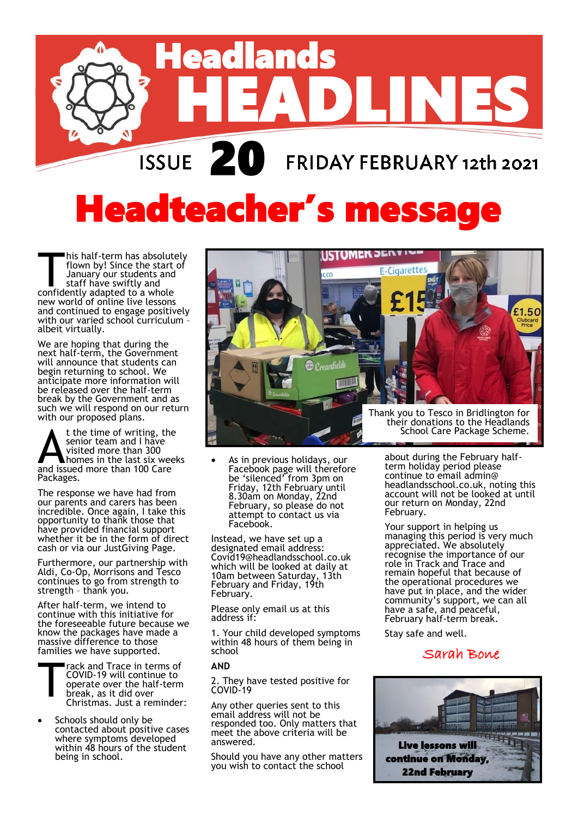

# **Headteacher's messag**

his half-term has absolute<br>flown by! Since the start<br>January our students and<br>staff have swiftly and<br>confidently adapted to a whole his half-term has absolutely flown by! Since the start of January our students and staff have swiftly and new world of online live lessons and continued to engage positively with our varied school curriculum – albeit virtually.

We are hoping that during the next half-term, the Government will announce that students can begin returning to school. We anticipate more information will be released over the half-term break by the Government and as such we will respond on our return with our proposed plans.

t the time of writing, the<br>senior team and I have<br>visited more than 300<br>and issued more than 100 Care t the time of writing, the senior team and I have visited more than 300 homes in the last six weeks Packages.

The response we have had from our parents and carers has been incredible. Once again, I take this opportunity to thank those that have provided financial support whether it be in the form of direct cash or via our JustGiving Page.

Furthermore, our partnership with Aldi, Co-Op, Morrisons and Tesco continues to go from strength to strength – thank you.

After half-term, we intend to continue with this initiative for the foreseeable future because we know the packages have made a massive difference to those families we have supported.

- T rack and Trace in terms of COVID-19 will continue to operate over the half-term break, as it did over Christmas. Just a reminder:
- Schools should only be contacted about positive cases where symptoms developed within 48 hours of the student being in school.



 As in previous holidays, our Facebook page will therefore be 'silenced' from 3pm on Friday, 12th February until 8.30am on Monday, 22nd February, so please do not attempt to contact us via Facebook.

Instead, we have set up a designated email address: Covid19@headlandsschool.co.uk which will be looked at daily at 10am between Saturday, 13th February and Friday, 19th February.

Please only email us at this address if:

1. Your child developed symptoms within 48 hours of them being in school

#### **AND**

2. They have tested positive for COVID-19

Any other queries sent to this email address will not be responded too. Only matters that meet the above criteria will be answered.

Should you have any other matters you wish to contact the school

about during the February halfterm holiday period please continue to email admin@ headlandsschool.co.uk, noting this account will not be looked at until our return on Monday, 22nd February.

Your support in helping us managing this period is very much appreciated. We absolutely recognise the importance of our role in Track and Trace and remain hopeful that because of the operational procedures we have put in place, and the wider community's support, we can all have a safe, and peaceful, February half-term break.

Stay safe and well.

#### Sarah Bone

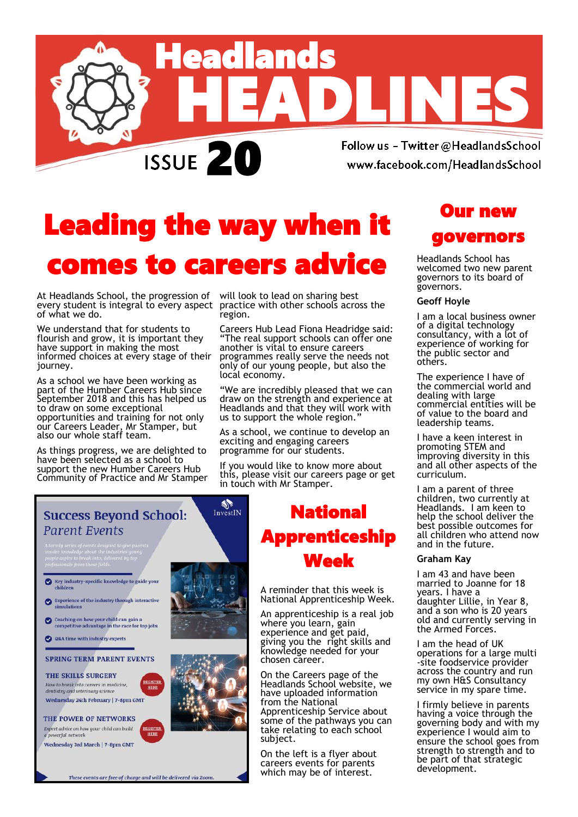

### Leading the way when it comes to careers advice

At Headlands School, the progression of will look to lead on sharing best every student is integral to every aspect practice with other schools across the of what we do.

We understand that for students to flourish and grow, it is important they have support in making the most informed choices at every stage of their journey.

As a school we have been working as part of the Humber Careers Hub since September 2018 and this has helped us to draw on some exceptional opportunities and training for not only our Careers Leader, Mr Stamper, but also our whole staff team.

As things progress, we are delighted to have been selected as a school to support the new Humber Careers Hub Community of Practice and Mr Stamper region.

Careers Hub Lead Fiona Headridge said: "The real support schools can offer one another is vital to ensure careers programmes really serve the needs not only of our young people, but also the local economy.

"We are incredibly pleased that we can draw on the strength and experience at Headlands and that they will work with us to support the whole region.

As a school, we continue to develop an exciting and engaging careers programme for our students.

If you would like to know more about this, please visit our careers page or get in touch with Mr Stamper.



### National Apprenticeship Week

A reminder that this week is National Apprenticeship Week.

An apprenticeship is a real job where you learn, gain experience and get paid, giving you the right skills and knowledge needed for your chosen career.

On the Careers page of the Headlands School website, we have uploaded information from the National Apprenticeship Service about some of the pathways you can take relating to each school subject.

On the left is a flyer about careers events for parents which may be of interest.

#### Our new governors

Headlands School has welcomed two new parent governors to its board of governors.

#### **Geoff Hoyle**

I am a local business owner of a digital technology consultancy, with a lot of experience of working for the public sector and others.

The experience I have of the commercial world and dealing with large commercial entities will be of value to the board and leadership teams.

I have a keen interest in promoting STEM and improving diversity in this and all other aspects of the curriculum.

I am a parent of three children, two currently at Headlands. I am keen to help the school deliver the best possible outcomes for all children who attend now and in the future.

#### **Graham Kay**

I am 43 and have been married to Joanne for 18 years. I have a daughter Lillie, in Year 8, and a son who is 20 years old and currently serving in the Armed Forces.

I am the head of UK operations for a large multi -site foodservice provider across the country and run my own H&S Consultancy service in my spare time.

I firmly believe in parents having a voice through the governing body and with my experience I would aim to ensure the school goes from strength to strength and to be part of that strategic development.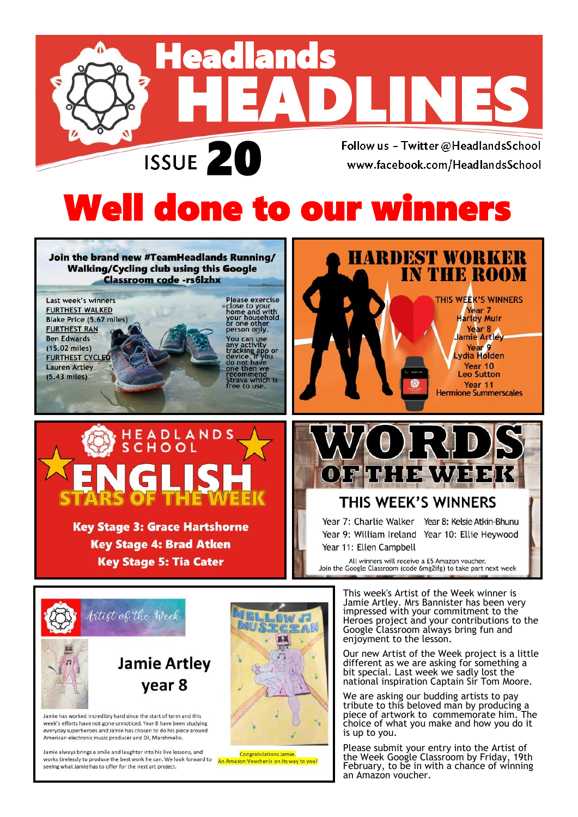

# Well done to our winners

Join the brand new #TeamHeadlands Running/ **Walking/Cycling club using this Google Classroom code -rs6lzhx** 

Last week's winners **FURTHEST WALKED Blake Price (5.67 miles) FURTHEST RAN Ben Edwards**  $(15.02$  miles) **FURTHEST CYCLED Lauren Artley**  $(5.43$  miles)

Please exercise<br>close to your<br>home and with<br>your household<br>or one other<br>person only. You can use<br>any activity<br>tracking app or<br>device. If you<br>do not have<br>one then we<br>recommend commend<br>rava which is<br>ee to use.



**Key Stage 3: Grace Hartshorne Key Stage 4: Brad Atken Key Stage 5: Tia Cater** 





#### THIS WEEK'S WINNERS

Year 11: Ellen Campbell

Year 7: Charlie Walker Year 8: Kelsie Atkin-Bhunu Year 9: William Ireland Year 10: Ellie Heywood

All winners will receive a £5 Amazon voucher. Join the Google Classroom (code 6mg2ifg) to take part next week



Jamie has worked incredibly hard since the start of term and this week's efforts have not gone unnoticed. Year 8 have been studying everyday superheroes and Jamie has chosen to do his piece around American electronic music producer and DJ, Marshmello.

Jamie always brings a smile and laughter into his live lessons, and works tirelessly to produce the best work he can. We look forward to seeing what Jamie has to offer for the next art project.



Congratulations Jamie. An Amazon Voucher is on its way to you!

This week's Artist of the Week winner is Jamie Artley. Mrs Bannister has been very impressed with your commitment to the Heroes project and your contributions to the Google Classroom always bring fun and enjoyment to the lesson.

Our new Artist of the Week project is a little different as we are asking for something a bit special. Last week we sadly lost the national inspiration Captain Sir Tom Moore.

We are asking our budding artists to pay tribute to this beloved man by producing a piece of artwork to commemorate him. The choice of what you make and how you do it is up to you.

Please submit your entry into the Artist of the Week Google Classroom by Friday, 19th February, to be in with a chance of winning an Amazon voucher.